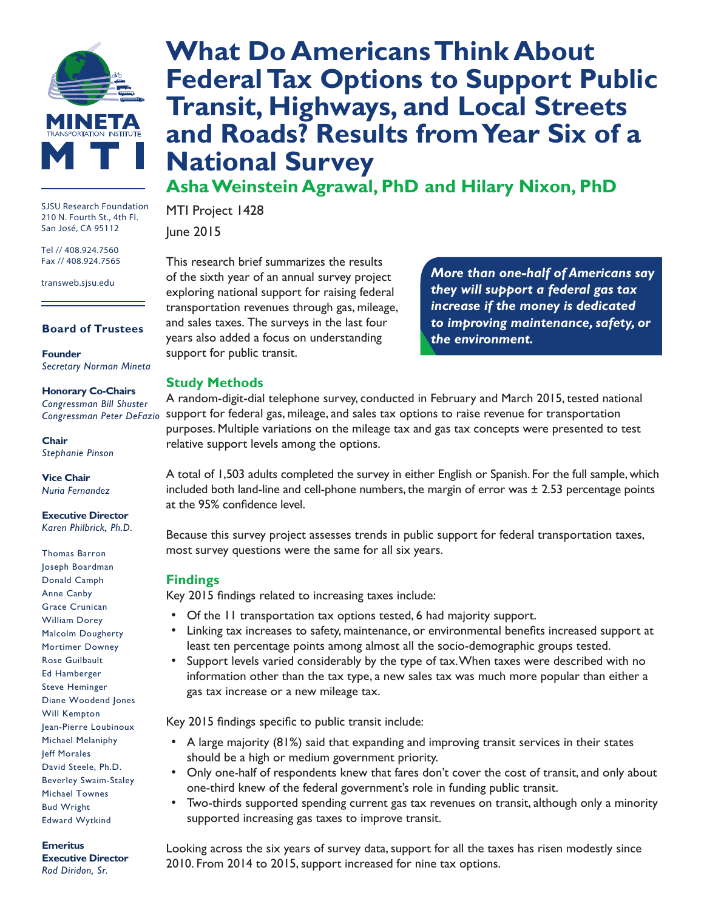

SJSU Research Foundation 210 N. Fourth St., 4th Fl. San José, CA 95112

Tel // 408.924.7560 Fax // 408.924.7565

transweb.sjsu.edu

#### **Board of Trustees**

**Founder** *Secretary Norman Mineta*

#### **Honorary Co-Chairs**

*Congressman Bill Shuster Congressman Peter DeFazio*

**Chair** *Stephanie Pinson*

**Vice Chair** *Nuria Fernandez*

**Executive Director** *Karen Philbrick, Ph.D.*

Thomas Barron Joseph Boardman Donald Camph Anne Canby Grace Crunican William Dorey Malcolm Dougherty Mortimer Downey Rose Guilbault Ed Hamberger Steve Heminger Diane Woodend Jones Will Kempton Jean-Pierre Loubinoux Michael Melaniphy Jeff Morales David Steele, Ph.D. Beverley Swaim-Staley Michael Townes Bud Wright Edward Wytkind

#### **Emeritus Executive Director**

*Rod Diridon, Sr.*

# **[What Do Americans Think About](http://transweb.sjsu.edu/project/1428.html)  [Federal Tax Options to Support Public](http://transweb.sjsu.edu/project/1428.html)  [Transit, Highways, and Local Streets](http://transweb.sjsu.edu/project/1428.html)  [and Roads? Results from Year Six of a](http://transweb.sjsu.edu/project/1428.html)  [National Survey](http://transweb.sjsu.edu/project/1428.html)**

**Asha Weinstein Agrawal, PhD and Hilary Nixon, PhD**

MTI Project 1428 June 2015

This research brief summarizes the results of the sixth year of an annual survey project exploring national support for raising federal transportation revenues through gas, mileage, and sales taxes. The surveys in the last four years also added a focus on understanding support for public transit.

*More than one-half of Americans say they will support a federal gas tax increase if the money is dedicated to improving maintenance, safety, or the environment.*

## **Study Methods**

A random-digit-dial telephone survey, conducted in February and March 2015, tested national support for federal gas, mileage, and sales tax options to raise revenue for transportation purposes. Multiple variations on the mileage tax and gas tax concepts were presented to test relative support levels among the options.

A total of 1,503 adults completed the survey in either English or Spanish. For the full sample, which included both land-line and cell-phone numbers, the margin of error was ± 2.53 percentage points at the 95% confidence level.

Because this survey project assesses trends in public support for federal transportation taxes, most survey questions were the same for all six years.

## **Findings**

Key 2015 findings related to increasing taxes include:

- Of the 11 transportation tax options tested, 6 had majority support.
- Linking tax increases to safety, maintenance, or environmental benefits increased support at least ten percentage points among almost all the socio-demographic groups tested.
- Support levels varied considerably by the type of tax. When taxes were described with no information other than the tax type, a new sales tax was much more popular than either a gas tax increase or a new mileage tax.

Key 2015 findings specific to public transit include:

- A large majority (81%) said that expanding and improving transit services in their states should be a high or medium government priority.
- Only one-half of respondents knew that fares don't cover the cost of transit, and only about one-third knew of the federal government's role in funding public transit.
- Two-thirds supported spending current gas tax revenues on transit, although only a minority supported increasing gas taxes to improve transit.

Looking across the six years of survey data, support for all the taxes has risen modestly since 2010. From 2014 to 2015, support increased for nine tax options.